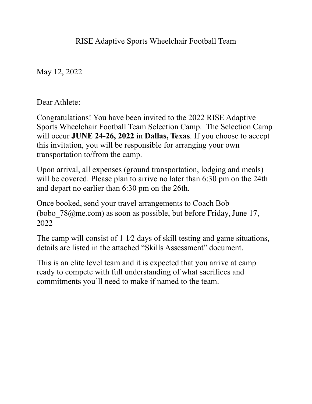RISE Adaptive Sports Wheelchair Football Team

May 12, 2022

Dear Athlete:

Congratulations! You have been invited to the 2022 RISE Adaptive Sports Wheelchair Football Team Selection Camp. The Selection Camp will occur **JUNE 24-26, 2022** in **Dallas, Texas**. If you choose to accept this invitation, you will be responsible for arranging your own transportation to/from the camp.

Upon arrival, all expenses (ground transportation, lodging and meals) will be covered. Please plan to arrive no later than 6:30 pm on the 24th and depart no earlier than 6:30 pm on the 26th.

Once booked, send your travel arrangements to Coach Bob (bobo  $78@me.com$ ) as soon as possible, but before Friday, June 17, 2022

The camp will consist of 1 1/2 days of skill testing and game situations, details are listed in the attached "Skills Assessment" document.

This is an elite level team and it is expected that you arrive at camp ready to compete with full understanding of what sacrifices and commitments you'll need to make if named to the team.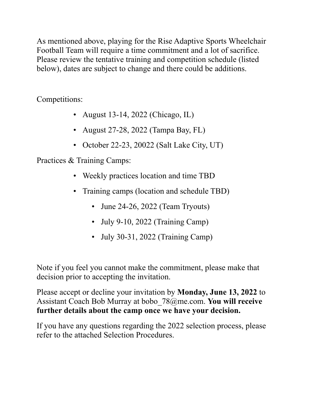As mentioned above, playing for the Rise Adaptive Sports Wheelchair Football Team will require a time commitment and a lot of sacrifice. Please review the tentative training and competition schedule (listed below), dates are subject to change and there could be additions.

Competitions:

- August 13-14, 2022 (Chicago, IL)
- August 27-28, 2022 (Tampa Bay, FL)
- October 22-23, 20022 (Salt Lake City, UT)

Practices & Training Camps:

- Weekly practices location and time TBD
- Training camps (location and schedule TBD)
	- June 24-26, 2022 (Team Tryouts)
	- July 9-10, 2022 (Training Camp)
	- July 30-31, 2022 (Training Camp)

Note if you feel you cannot make the commitment, please make that decision prior to accepting the invitation.

Please accept or decline your invitation by **Monday, June 13, 2022** to Assistant Coach Bob Murray at bobo\_78@me.com. **You will receive further details about the camp once we have your decision.**

If you have any questions regarding the 2022 selection process, please refer to the attached Selection Procedures.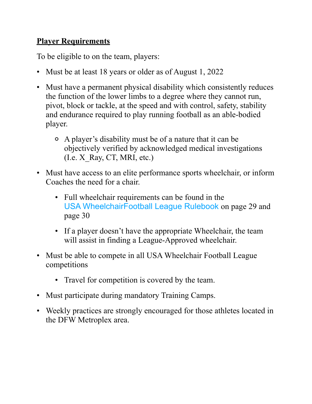## **Player Requirements**

To be eligible to on the team, players:

- Must be at least 18 years or older as of August 1, 2022
- Must have a permanent physical disability which consistently reduces the function of the lower limbs to a degree where they cannot run, pivot, block or tackle, at the speed and with control, safety, stability and endurance required to play running football as an able-bodied player.
	- A player's disability must be of a nature that it can be objectively verified by acknowledged medical investigations  $(I.e. X Ray, CT, MRI, etc.)$
- Must have access to an elite performance sports wheelchair, or inform Coaches the need for a chair.
	- Full wheelchair requirements can be found in the USA WheelchairFootball League Rulebook on page 29 and page 30
	- If a player doesn't have the appropriate Wheelchair, the team will assist in finding a League-Approved wheelchair.
- Must be able to compete in all USA Wheelchair Football League competitions
	- Travel for competition is covered by the team.
- Must participate during mandatory Training Camps.
- Weekly practices are strongly encouraged for those athletes located in the DFW Metroplex area.